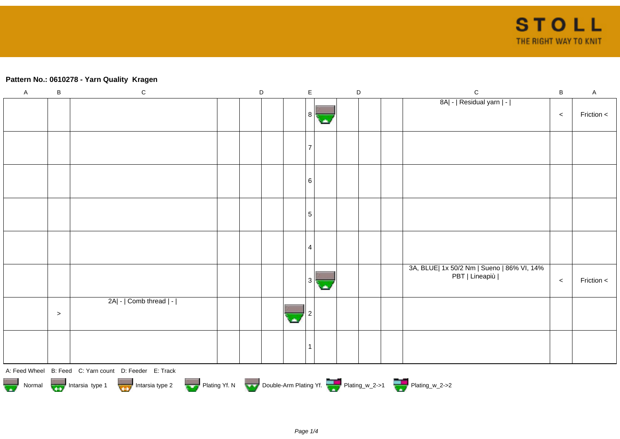## **Pattern No.: 0610278 - Yarn Quality Kragen**

| $\mathsf A$                                                                                               | $\sf B$ | ${\bf C}$                                              |  | $\mathsf D$ |  | $\mathsf{E}% _{0}\left( \mathsf{E}_{0}\right) ^{T}=\mathsf{E}_{0}\left( \mathsf{E}_{0}\right) ^{T}$ |  | $\mathsf D$ |  | $\mathsf C$                                                  | $\sf B$ | $\mathsf A$  |
|-----------------------------------------------------------------------------------------------------------|---------|--------------------------------------------------------|--|-------------|--|-----------------------------------------------------------------------------------------------------|--|-------------|--|--------------------------------------------------------------|---------|--------------|
|                                                                                                           |         |                                                        |  |             |  | 8                                                                                                   |  |             |  | 8A  -   Residual yarn   -                                    | $\,<$   | Friction <   |
|                                                                                                           |         |                                                        |  |             |  |                                                                                                     |  |             |  |                                                              |         |              |
|                                                                                                           |         |                                                        |  |             |  | 6                                                                                                   |  |             |  |                                                              |         |              |
|                                                                                                           |         |                                                        |  |             |  | 5                                                                                                   |  |             |  |                                                              |         |              |
|                                                                                                           |         |                                                        |  |             |  | 4                                                                                                   |  |             |  |                                                              |         |              |
|                                                                                                           |         |                                                        |  |             |  | 3                                                                                                   |  |             |  | 3A, BLUE  1x 50/2 Nm   Sueno   86% VI, 14%<br>PBT   Lineapiù | $\,<$   | Friction $<$ |
|                                                                                                           | $\geq$  | 2A  -   Comb thread   -                                |  |             |  |                                                                                                     |  |             |  |                                                              |         |              |
|                                                                                                           |         |                                                        |  |             |  |                                                                                                     |  |             |  |                                                              |         |              |
|                                                                                                           |         | A: Feed Wheel B: Feed C: Yarn count D: Feeder E: Track |  |             |  |                                                                                                     |  |             |  |                                                              |         |              |
| Normal More Intarsia type 1 Intarsia type 2 Plating Yf. N Double-Arm Plating Yf. N Double-Arm Plating Yf. |         |                                                        |  |             |  |                                                                                                     |  |             |  |                                                              |         |              |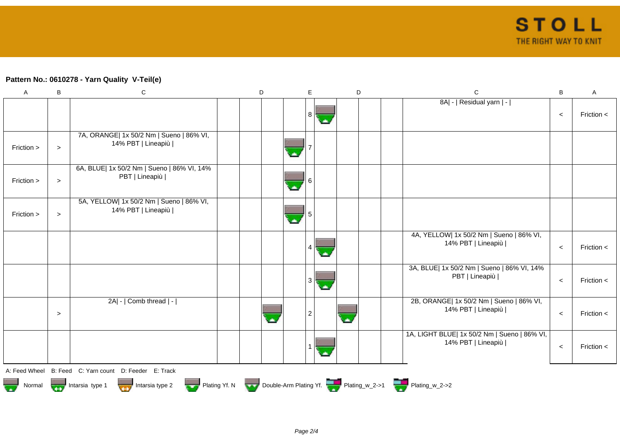## **Pattern No.: 0610278 - Yarn Quality V-Teil(e)**

| A          | B                                                                                           | ${\bf C}$                                                      |  | D |  | E |            | D |  |  | $\mathbf C$                                                        | В     | A            |
|------------|---------------------------------------------------------------------------------------------|----------------------------------------------------------------|--|---|--|---|------------|---|--|--|--------------------------------------------------------------------|-------|--------------|
|            |                                                                                             |                                                                |  |   |  | 8 | ٠          |   |  |  | 8A  -   Residual yarn   -                                          | $\,<$ | Friction <   |
| Friction > | $\geq$                                                                                      | 7A, ORANGE  1x 50/2 Nm   Sueno   86% VI,<br>14% PBT   Lineapiù |  |   |  |   |            |   |  |  |                                                                    |       |              |
| Friction > | $\,>$                                                                                       | 6A, BLUE  1x 50/2 Nm   Sueno   86% VI, 14%<br>PBT   Lineapiù   |  |   |  |   |            |   |  |  |                                                                    |       |              |
| Friction > | $\, >$                                                                                      | 5A, YELLOW  1x 50/2 Nm   Sueno   86% VI,<br>14% PBT   Lineapiù |  |   |  |   |            |   |  |  |                                                                    |       |              |
|            |                                                                                             |                                                                |  |   |  | 4 | <b>Sta</b> |   |  |  | 4A, YELLOW  1x 50/2 Nm   Sueno   86% VI,<br>14% PBT   Lineapiù     | $\,<$ | Friction <   |
|            |                                                                                             |                                                                |  |   |  | 3 | o.         |   |  |  | 3A, BLUE  1x 50/2 Nm   Sueno   86% VI, 14%<br>PBT   Lineapiù       | $\,<$ | Friction $<$ |
|            | $\geq$                                                                                      | 2A  -   Comb thread   -                                        |  |   |  | 2 |            |   |  |  | 2B, ORANGE  1x 50/2 Nm   Sueno   86% VI,<br>14% PBT   Lineapiù     | $\,<$ | Friction $<$ |
|            |                                                                                             |                                                                |  |   |  |   |            |   |  |  | 1A, LIGHT BLUE  1x 50/2 Nm   Sueno   86% VI,<br>14% PBT   Lineapiù | $\,<$ | Friction <   |
|            |                                                                                             | A: Feed Wheel B: Feed C: Yarn count D: Feeder E: Track         |  |   |  |   |            |   |  |  |                                                                    |       |              |
|            | Normal <b>Double-Arm Plating Yf. N</b> Double-Arm Plating Yf. N Double-Arm Plating Yf. 2->1 |                                                                |  |   |  |   |            |   |  |  |                                                                    |       |              |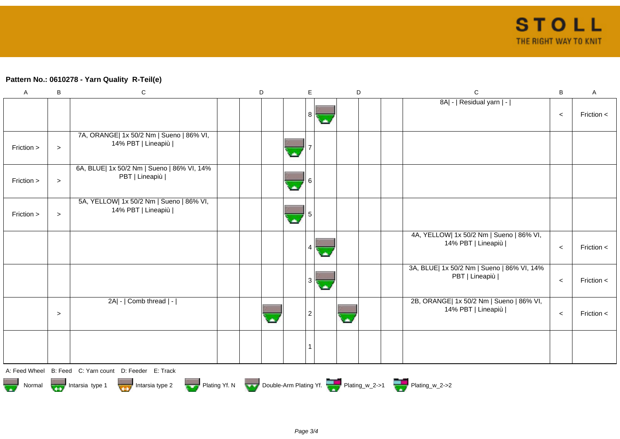## **Pattern No.: 0610278 - Yarn Quality R-Teil(e)**

| A          | $\, {\bf B}$ | $\mathsf C$                                                    | $\mathsf D$ | E. | D                       | $\mathsf C$                                                    | $\sf B$ | $\mathsf A$  |
|------------|--------------|----------------------------------------------------------------|-------------|----|-------------------------|----------------------------------------------------------------|---------|--------------|
|            |              |                                                                |             | 81 |                         | 8A  -   Residual yarn   -                                      | $\,<$   | Friction $<$ |
| Friction > | $\geq$       | 7A, ORANGE  1x 50/2 Nm   Sueno   86% VI,<br>14% PBT   Lineapiù |             |    |                         |                                                                |         |              |
| Friction > | $\geq$       | 6A, BLUE  1x 50/2 Nm   Sueno   86% VI, 14%<br>PBT   Lineapiù   |             |    |                         |                                                                |         |              |
| Friction > | $\geq$       | 5A, YELLOW  1x 50/2 Nm   Sueno   86% VI,<br>14% PBT   Lineapiù |             |    |                         |                                                                |         |              |
|            |              |                                                                |             |    |                         | 4A, YELLOW  1x 50/2 Nm   Sueno   86% VI,<br>14% PBT   Lineapiù | $\,<$   | Friction $<$ |
|            |              |                                                                |             | 3  |                         | 3A, BLUE  1x 50/2 Nm   Sueno   86% VI, 14%<br>PBT   Lineapiù   | $\,<$   | Friction <   |
|            | $\geq$       | $2A$ - $ $ Comb thread $ $ - $ $                               |             |    | $\overline{\mathbf{z}}$ | 2B, ORANGE  1x 50/2 Nm   Sueno   86% VI,<br>14% PBT   Lineapiù | $\,<$   | Friction <   |
|            |              |                                                                |             |    |                         |                                                                |         |              |
|            |              | A: Feed Wheel B: Feed C: Yarn count D: Feeder E: Track         |             |    |                         |                                                                |         |              |

A: Feed Wheel B: Feed C: Yarn count D: Feeder E: Track